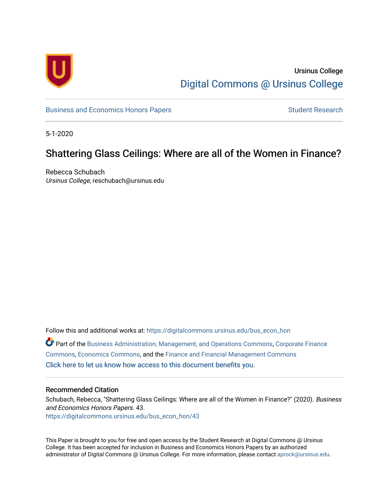

# Ursinus College [Digital Commons @ Ursinus College](https://digitalcommons.ursinus.edu/)

[Business and Economics Honors Papers](https://digitalcommons.ursinus.edu/bus_econ_hon) **Student Research** Student Research

5-1-2020

# Shattering Glass Ceilings: Where are all of the Women in Finance?

Rebecca Schubach Ursinus College, reschubach@ursinus.edu

Follow this and additional works at: [https://digitalcommons.ursinus.edu/bus\\_econ\\_hon](https://digitalcommons.ursinus.edu/bus_econ_hon?utm_source=digitalcommons.ursinus.edu%2Fbus_econ_hon%2F43&utm_medium=PDF&utm_campaign=PDFCoverPages)  Part of the [Business Administration, Management, and Operations Commons](http://network.bepress.com/hgg/discipline/623?utm_source=digitalcommons.ursinus.edu%2Fbus_econ_hon%2F43&utm_medium=PDF&utm_campaign=PDFCoverPages), [Corporate Finance](http://network.bepress.com/hgg/discipline/629?utm_source=digitalcommons.ursinus.edu%2Fbus_econ_hon%2F43&utm_medium=PDF&utm_campaign=PDFCoverPages) [Commons](http://network.bepress.com/hgg/discipline/629?utm_source=digitalcommons.ursinus.edu%2Fbus_econ_hon%2F43&utm_medium=PDF&utm_campaign=PDFCoverPages), [Economics Commons](http://network.bepress.com/hgg/discipline/340?utm_source=digitalcommons.ursinus.edu%2Fbus_econ_hon%2F43&utm_medium=PDF&utm_campaign=PDFCoverPages), and the [Finance and Financial Management Commons](http://network.bepress.com/hgg/discipline/631?utm_source=digitalcommons.ursinus.edu%2Fbus_econ_hon%2F43&utm_medium=PDF&utm_campaign=PDFCoverPages)  [Click here to let us know how access to this document benefits you.](https://ursinus.co1.qualtrics.com/jfe/form/SV_1RIyfqzdxsWfMQ5) 

### Recommended Citation

Schubach, Rebecca, "Shattering Glass Ceilings: Where are all of the Women in Finance?" (2020). Business and Economics Honors Papers. 43. [https://digitalcommons.ursinus.edu/bus\\_econ\\_hon/43](https://digitalcommons.ursinus.edu/bus_econ_hon/43?utm_source=digitalcommons.ursinus.edu%2Fbus_econ_hon%2F43&utm_medium=PDF&utm_campaign=PDFCoverPages) 

This Paper is brought to you for free and open access by the Student Research at Digital Commons @ Ursinus College. It has been accepted for inclusion in Business and Economics Honors Papers by an authorized administrator of Digital Commons @ Ursinus College. For more information, please contact [aprock@ursinus.edu.](mailto:aprock@ursinus.edu)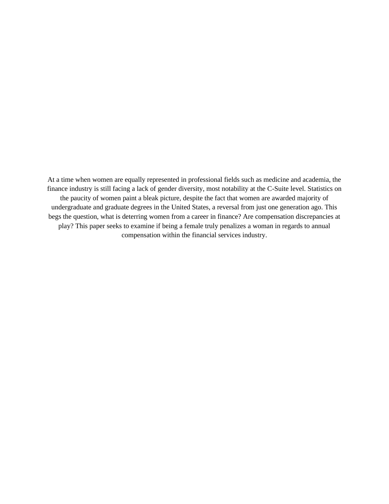At a time when women are equally represented in professional fields such as medicine and academia, the finance industry is still facing a lack of gender diversity, most notability at the C-Suite level. Statistics on the paucity of women paint a bleak picture, despite the fact that women are awarded majority of undergraduate and graduate degrees in the United States, a reversal from just one generation ago. This begs the question, what is deterring women from a career in finance? Are compensation discrepancies at play? This paper seeks to examine if being a female truly penalizes a woman in regards to annual compensation within the financial services industry.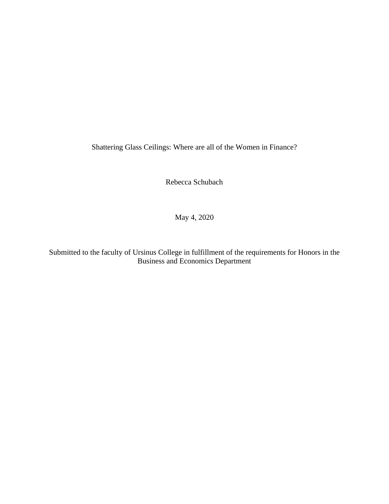Shattering Glass Ceilings: Where are all of the Women in Finance?

Rebecca Schubach

May 4, 2020

Submitted to the faculty of Ursinus College in fulfillment of the requirements for Honors in the Business and Economics Department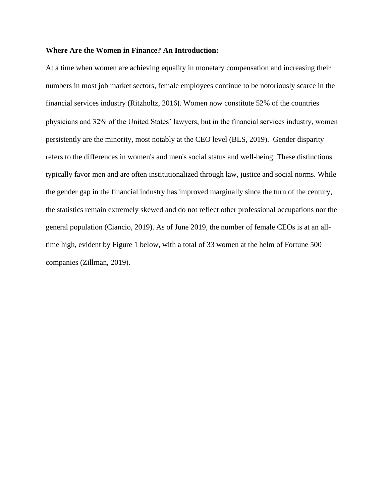### **Where Are the Women in Finance? An Introduction:**

At a time when women are achieving equality in monetary compensation and increasing their numbers in most job market sectors, female employees continue to be notoriously scarce in the financial services industry (Ritzholtz, 2016). Women now constitute 52% of the countries physicians and 32% of the United States' lawyers, but in the financial services industry, women persistently are the minority, most notably at the CEO level (BLS, 2019). Gender disparity refers to the differences in women's and men's social status and well-being. These distinctions typically favor men and are often institutionalized through law, justice and social norms. While the gender gap in the financial industry has improved marginally since the turn of the century, the statistics remain extremely skewed and do not reflect other professional occupations nor the general population (Ciancio, 2019). As of June 2019, the number of female CEOs is at an alltime high, evident by Figure 1 below, with a total of 33 women at the helm of Fortune 500 companies (Zillman, 2019).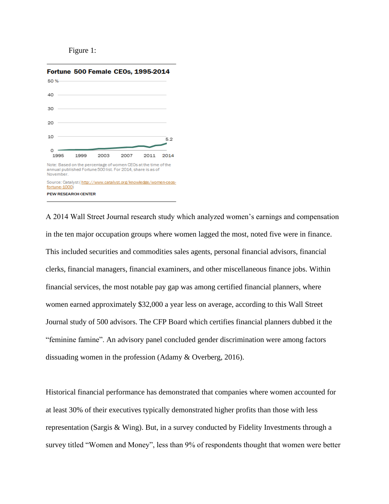### Figure 1:



A 2014 Wall Street Journal research study which analyzed women's earnings and compensation in the ten major occupation groups where women lagged the most, noted five were in finance. This included securities and commodities sales agents, personal financial advisors, financial clerks, financial managers, financial examiners, and other miscellaneous finance jobs. Within financial services, the most notable pay gap was among certified financial planners, where women earned approximately \$32,000 a year less on average, according to this Wall Street Journal study of 500 advisors. The CFP Board which certifies financial planners dubbed it the "feminine famine". An advisory panel concluded gender discrimination were among factors dissuading women in the profession (Adamy & Overberg, 2016).

Historical financial performance has demonstrated that companies where women accounted for at least 30% of their executives typically demonstrated higher profits than those with less representation (Sargis & Wing). But, in a survey conducted by Fidelity Investments through a survey titled "Women and Money", less than 9% of respondents thought that women were better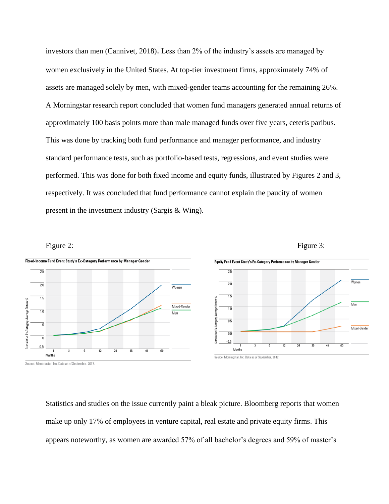investors than men (Cannivet, 2018). Less than 2% of the industry's assets are managed by women exclusively in the United States. At top-tier investment firms, approximately 74% of assets are managed solely by men, with mixed-gender teams accounting for the remaining 26%. A Morningstar research report concluded that women fund managers generated annual returns of approximately 100 basis points more than male managed funds over five years, ceteris paribus. This was done by tracking both fund performance and manager performance, and industry standard performance tests, such as portfolio-based tests, regressions, and event studies were performed. This was done for both fixed income and equity funds, illustrated by Figures 2 and 3, respectively. It was concluded that fund performance cannot explain the paucity of women present in the investment industry (Sargis & Wing).



Statistics and studies on the issue currently paint a bleak picture. Bloomberg reports that women make up only 17% of employees in venture capital, real estate and private equity firms. This appears noteworthy, as women are awarded 57% of all bachelor's degrees and 59% of master's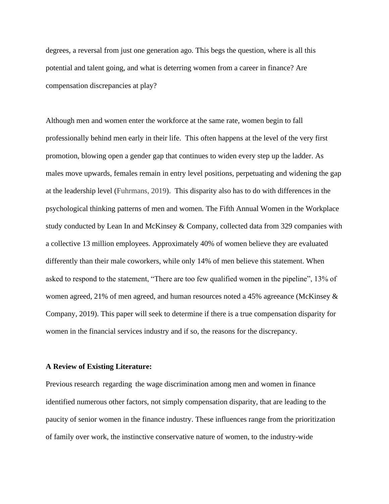degrees, a reversal from just one generation ago. This begs the question, where is all this potential and talent going, and what is deterring women from a career in finance? Are compensation discrepancies at play?

Although men and women enter the workforce at the same rate, women begin to fall professionally behind men early in their life. This often happens at the level of the very first promotion, blowing open a gender gap that continues to widen every step up the ladder. As males move upwards, females remain in entry level positions, perpetuating and widening the gap at the leadership level (Fuhrmans, 2019). This disparity also has to do with differences in the psychological thinking patterns of men and women. The Fifth Annual Women in the Workplace study conducted by Lean In and McKinsey & Company, collected data from 329 companies with a collective 13 million employees. Approximately 40% of women believe they are evaluated differently than their male coworkers, while only 14% of men believe this statement. When asked to respond to the statement, "There are too few qualified women in the pipeline", 13% of women agreed, 21% of men agreed, and human resources noted a 45% agreeance (McKinsey & Company, 2019). This paper will seek to determine if there is a true compensation disparity for women in the financial services industry and if so, the reasons for the discrepancy.

#### **A Review of Existing Literature:**

Previous research regarding the wage discrimination among men and women in finance identified numerous other factors, not simply compensation disparity, that are leading to the paucity of senior women in the finance industry. These influences range from the prioritization of family over work, the instinctive conservative nature of women, to the industry-wide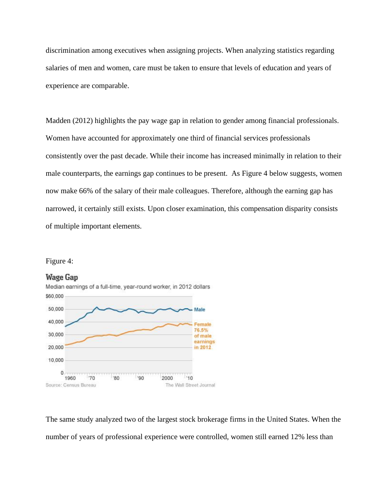discrimination among executives when assigning projects. When analyzing statistics regarding salaries of men and women, care must be taken to ensure that levels of education and years of experience are comparable.

Madden (2012) highlights the pay wage gap in relation to gender among financial professionals. Women have accounted for approximately one third of financial services professionals consistently over the past decade. While their income has increased minimally in relation to their male counterparts, the earnings gap continues to be present. As Figure 4 below suggests, women now make 66% of the salary of their male colleagues. Therefore, although the earning gap has narrowed, it certainly still exists. Upon closer examination, this compensation disparity consists of multiple important elements.





The same study analyzed two of the largest stock brokerage firms in the United States. When the number of years of professional experience were controlled, women still earned 12% less than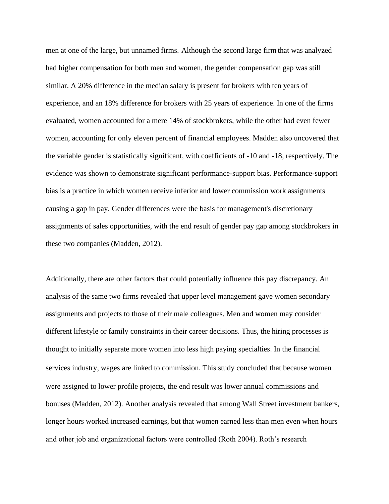men at one of the large, but unnamed firms. Although the second large firm that was analyzed had higher compensation for both men and women, the gender compensation gap was still similar. A 20% difference in the median salary is present for brokers with ten years of experience, and an 18% difference for brokers with 25 years of experience. In one of the firms evaluated, women accounted for a mere 14% of stockbrokers, while the other had even fewer women, accounting for only eleven percent of financial employees. Madden also uncovered that the variable gender is statistically significant, with coefficients of -10 and -18, respectively. The evidence was shown to demonstrate significant performance-support bias. Performance-support bias is a practice in which women receive inferior and lower commission work assignments causing a gap in pay. Gender differences were the basis for management's discretionary assignments of sales opportunities, with the end result of gender pay gap among stockbrokers in these two companies (Madden, 2012).

Additionally, there are other factors that could potentially influence this pay discrepancy. An analysis of the same two firms revealed that upper level management gave women secondary assignments and projects to those of their male colleagues. Men and women may consider different lifestyle or family constraints in their career decisions. Thus, the hiring processes is thought to initially separate more women into less high paying specialties. In the financial services industry, wages are linked to commission. This study concluded that because women were assigned to lower profile projects, the end result was lower annual commissions and bonuses (Madden, 2012). Another analysis revealed that among Wall Street investment bankers, longer hours worked increased earnings, but that women earned less than men even when hours and other job and organizational factors were controlled (Roth 2004). Roth's research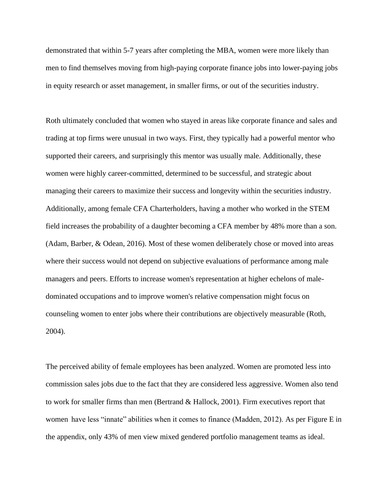demonstrated that within 5-7 years after completing the MBA, women were more likely than men to find themselves moving from high-paying corporate finance jobs into lower-paying jobs in equity research or asset management, in smaller firms, or out of the securities industry.

Roth ultimately concluded that women who stayed in areas like corporate finance and sales and trading at top firms were unusual in two ways. First, they typically had a powerful mentor who supported their careers, and surprisingly this mentor was usually male. Additionally, these women were highly career-committed, determined to be successful, and strategic about managing their careers to maximize their success and longevity within the securities industry. Additionally, among female CFA Charterholders, having a mother who worked in the STEM field increases the probability of a daughter becoming a CFA member by 48% more than a son. (Adam, Barber, & Odean, 2016). Most of these women deliberately chose or moved into areas where their success would not depend on subjective evaluations of performance among male managers and peers. Efforts to increase women's representation at higher echelons of maledominated occupations and to improve women's relative compensation might focus on counseling women to enter jobs where their contributions are objectively measurable (Roth, 2004).

The perceived ability of female employees has been analyzed. Women are promoted less into commission sales jobs due to the fact that they are considered less aggressive. Women also tend to work for smaller firms than men (Bertrand & Hallock, 2001). Firm executives report that women have less "innate" abilities when it comes to finance (Madden, 2012). As per Figure E in the appendix, only 43% of men view mixed gendered portfolio management teams as ideal.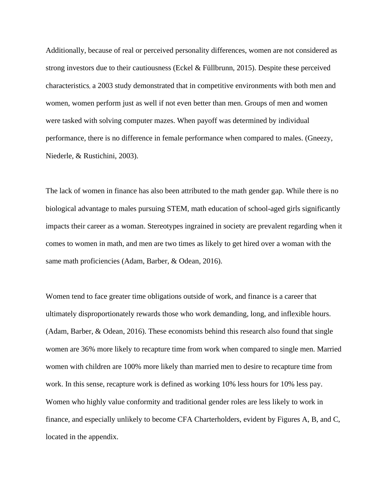Additionally, because of real or perceived personality differences, women are not considered as strong investors due to their cautiousness (Eckel & Füllbrunn, 2015). Despite these perceived characteristics, a 2003 study demonstrated that in competitive environments with both men and women, women perform just as well if not even better than men. Groups of men and women were tasked with solving computer mazes. When payoff was determined by individual performance, there is no difference in female performance when compared to males. (Gneezy, Niederle, & Rustichini, 2003).

The lack of women in finance has also been attributed to the math gender gap. While there is no biological advantage to males pursuing STEM, math education of school-aged girls significantly impacts their career as a woman. Stereotypes ingrained in society are prevalent regarding when it comes to women in math, and men are two times as likely to get hired over a woman with the same math proficiencies (Adam, Barber, & Odean, 2016).

Women tend to face greater time obligations outside of work, and finance is a career that ultimately disproportionately rewards those who work demanding, long, and inflexible hours. (Adam, Barber, & Odean, 2016). These economists behind this research also found that single women are 36% more likely to recapture time from work when compared to single men. Married women with children are 100% more likely than married men to desire to recapture time from work. In this sense, recapture work is defined as working 10% less hours for 10% less pay. Women who highly value conformity and traditional gender roles are less likely to work in finance, and especially unlikely to become CFA Charterholders, evident by Figures A, B, and C, located in the appendix.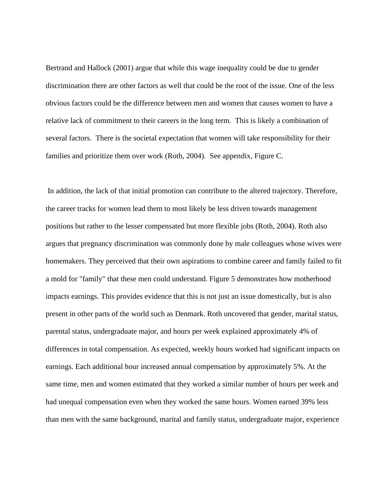Bertrand and Hallock (2001) argue that while this wage inequality could be due to gender discrimination there are other factors as well that could be the root of the issue. One of the less obvious factors could be the difference between men and women that causes women to have a relative lack of commitment to their careers in the long term. This is likely a combination of several factors. There is the societal expectation that women will take responsibility for their families and prioritize them over work (Roth, 2004). See appendix, Figure C.

In addition, the lack of that initial promotion can contribute to the altered trajectory. Therefore, the career tracks for women lead them to most likely be less driven towards management positions but rather to the lesser compensated but more flexible jobs (Roth, 2004). Roth also argues that pregnancy discrimination was commonly done by male colleagues whose wives were homemakers. They perceived that their own aspirations to combine career and family failed to fit a mold for "family" that these men could understand. Figure 5 demonstrates how motherhood impacts earnings. This provides evidence that this is not just an issue domestically, but is also present in other parts of the world such as Denmark. Roth uncovered that gender, marital status, parental status, undergraduate major, and hours per week explained approximately 4% of differences in total compensation. As expected, weekly hours worked had significant impacts on earnings. Each additional hour increased annual compensation by approximately 5%. At the same time, men and women estimated that they worked a similar number of hours per week and had unequal compensation even when they worked the same hours. Women earned 39% less than men with the same background, marital and family status, undergraduate major, experience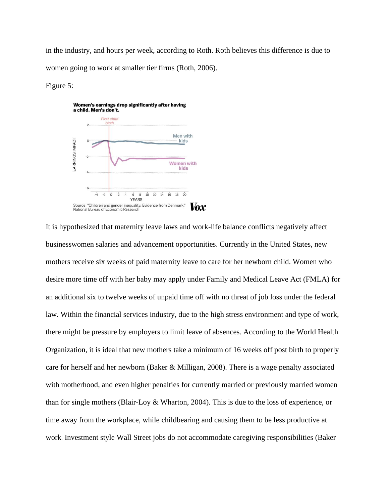in the industry, and hours per week, according to Roth. Roth believes this difference is due to women going to work at smaller tier firms (Roth, 2006).

#### Figure 5:



It is hypothesized that maternity leave laws and work-life balance conflicts negatively affect businesswomen salaries and advancement opportunities. Currently in the United States, new mothers receive six weeks of paid maternity leave to care for her newborn child. Women who desire more time off with her baby may apply under Family and Medical Leave Act (FMLA) for an additional six to twelve weeks of unpaid time off with no threat of job loss under the federal law. Within the financial services industry, due to the high stress environment and type of work, there might be pressure by employers to limit leave of absences. According to the World Health Organization, it is ideal that new mothers take a minimum of 16 weeks off post birth to properly care for herself and her newborn (Baker & Milligan, 2008). There is a wage penalty associated with motherhood, and even higher penalties for currently married or previously married women than for single mothers (Blair-Loy & Wharton, 2004). This is due to the loss of experience, or time away from the workplace, while childbearing and causing them to be less productive at work. Investment style Wall Street jobs do not accommodate caregiving responsibilities (Baker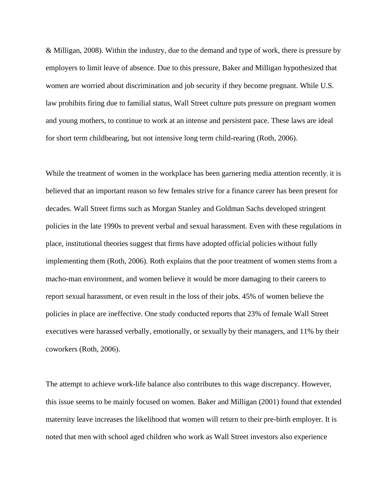& Milligan, 2008). Within the industry, due to the demand and type of work, there is pressure by employers to limit leave of absence. Due to this pressure, Baker and Milligan hypothesized that women are worried about discrimination and job security if they become pregnant. While U.S. law prohibits firing due to familial status, Wall Street culture puts pressure on pregnant women and young mothers, to continue to work at an intense and persistent pace. These laws are ideal for short term childbearing, but not intensive long term child-rearing (Roth, 2006).

While the treatment of women in the workplace has been garnering media attention recently, it is believed that an important reason so few females strive for a finance career has been present for decades. Wall Street firms such as Morgan Stanley and Goldman Sachs developed stringent policies in the late 1990s to prevent verbal and sexual harassment. Even with these regulations in place, institutional theories suggest that firms have adopted official policies without fully implementing them (Roth, 2006). Roth explains that the poor treatment of women stems from a macho-man environment, and women believe it would be more damaging to their careers to report sexual harassment, or even result in the loss of their jobs. 45% of women believe the policies in place are ineffective. One study conducted reports that 23% of female Wall Street executives were harassed verbally, emotionally, or sexually by their managers, and 11% by their coworkers (Roth, 2006).

The attempt to achieve work-life balance also contributes to this wage discrepancy. However, this issue seems to be mainly focused on women. Baker and Milligan (2001) found that extended maternity leave increases the likelihood that women will return to their pre-birth employer. It is noted that men with school aged children who work as Wall Street investors also experience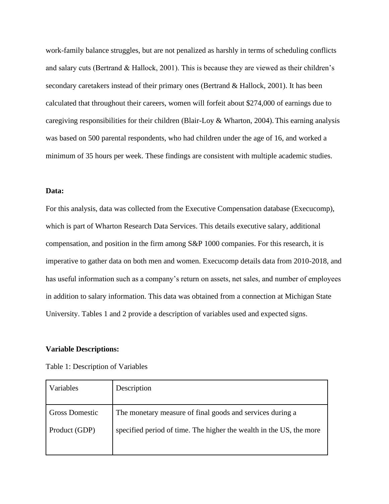work-family balance struggles, but are not penalized as harshly in terms of scheduling conflicts and salary cuts (Bertrand & Hallock, 2001). This is because they are viewed as their children's secondary caretakers instead of their primary ones (Bertrand & Hallock, 2001). It has been calculated that throughout their careers, women will forfeit about \$274,000 of earnings due to caregiving responsibilities for their children (Blair-Loy & Wharton, 2004). This earning analysis was based on 500 parental respondents, who had children under the age of 16, and worked a minimum of 35 hours per week. These findings are consistent with multiple academic studies.

#### **Data:**

For this analysis, data was collected from the Executive Compensation database (Execucomp), which is part of Wharton Research Data Services. This details executive salary, additional compensation, and position in the firm among S&P 1000 companies. For this research, it is imperative to gather data on both men and women. Execucomp details data from 2010-2018, and has useful information such as a company's return on assets, net sales, and number of employees in addition to salary information. This data was obtained from a connection at Michigan State University. Tables 1 and 2 provide a description of variables used and expected signs.

#### **Variable Descriptions:**

| Table 1: Description of Variables |  |
|-----------------------------------|--|
|-----------------------------------|--|

| Variables             | Description                                                         |
|-----------------------|---------------------------------------------------------------------|
| <b>Gross Domestic</b> | The monetary measure of final goods and services during a           |
| Product (GDP)         | specified period of time. The higher the wealth in the US, the more |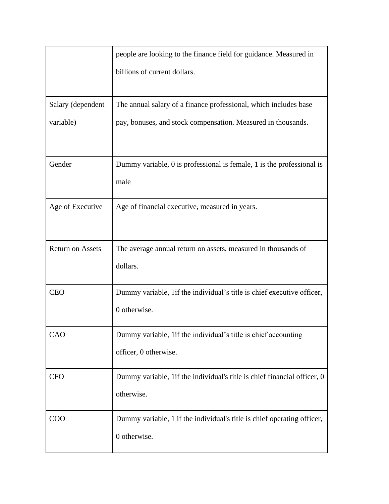|                         | people are looking to the finance field for guidance. Measured in                       |
|-------------------------|-----------------------------------------------------------------------------------------|
|                         | billions of current dollars.                                                            |
| Salary (dependent       | The annual salary of a finance professional, which includes base                        |
| variable)               | pay, bonuses, and stock compensation. Measured in thousands.                            |
| Gender                  | Dummy variable, 0 is professional is female, 1 is the professional is<br>male           |
| Age of Executive        | Age of financial executive, measured in years.                                          |
| <b>Return on Assets</b> | The average annual return on assets, measured in thousands of<br>dollars.               |
| <b>CEO</b>              | Dummy variable, 1 if the individual's title is chief executive officer,<br>0 otherwise. |
| CAO                     | Dummy variable, 1if the individual's title is chief accounting<br>officer, 0 otherwise. |
| <b>CFO</b>              | Dummy variable, 1if the individual's title is chief financial officer, 0<br>otherwise.  |
| COO                     | Dummy variable, 1 if the individual's title is chief operating officer,<br>0 otherwise. |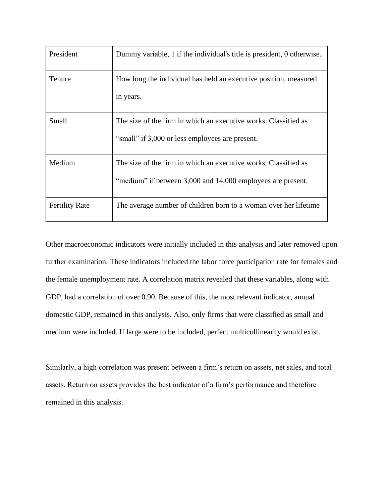| President             | Dummy variable, 1 if the individual's title is president, 0 otherwise.                                                         |
|-----------------------|--------------------------------------------------------------------------------------------------------------------------------|
| Tenure                | How long the individual has held an executive position, measured<br>in years.                                                  |
| Small                 | The size of the firm in which an executive works. Classified as<br>"small" if 3,000 or less employees are present.             |
| Medium                | The size of the firm in which an executive works. Classified as<br>"medium" if between 3,000 and 14,000 employees are present. |
| <b>Fertility Rate</b> | The average number of children born to a woman over her lifetime                                                               |

Other macroeconomic indicators were initially included in this analysis and later removed upon further examination. These indicators included the labor force participation rate for females and the female unemployment rate. A correlation matrix revealed that these variables, along with GDP, had a correlation of over 0.90. Because of this, the most relevant indicator, annual domestic GDP, remained in this analysis. Also, only firms that were classified as small and medium were included. If large were to be included, perfect multicollinearity would exist.

Similarly, a high correlation was present between a firm's return on assets, net sales, and total assets. Return on assets provides the best indicator of a firm's performance and therefore remained in this analysis.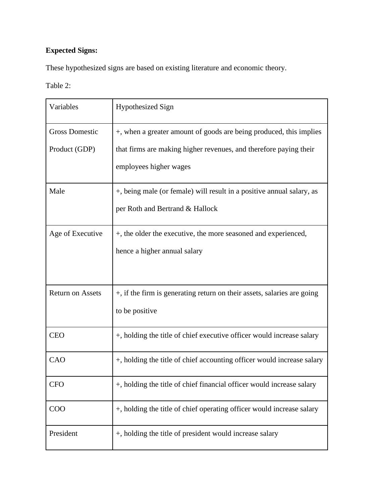# **Expected Signs:**

These hypothesized signs are based on existing literature and economic theory.

Table 2:

| Variables               | <b>Hypothesized Sign</b>                                                |
|-------------------------|-------------------------------------------------------------------------|
| <b>Gross Domestic</b>   | +, when a greater amount of goods are being produced, this implies      |
| Product (GDP)           | that firms are making higher revenues, and therefore paying their       |
|                         | employees higher wages                                                  |
| Male                    | +, being male (or female) will result in a positive annual salary, as   |
|                         | per Roth and Bertrand & Hallock                                         |
| Age of Executive        | +, the older the executive, the more seasoned and experienced,          |
|                         | hence a higher annual salary                                            |
|                         |                                                                         |
| <b>Return on Assets</b> | +, if the firm is generating return on their assets, salaries are going |
|                         | to be positive                                                          |
| <b>CEO</b>              | +, holding the title of chief executive officer would increase salary   |
| CAO                     | +, holding the title of chief accounting officer would increase salary  |
| <b>CFO</b>              | +, holding the title of chief financial officer would increase salary   |
| COO                     | +, holding the title of chief operating officer would increase salary   |
| President               | +, holding the title of president would increase salary                 |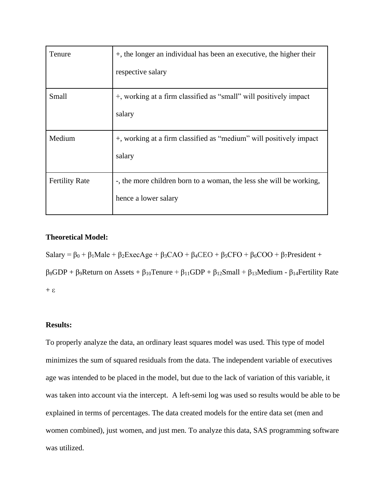| Tenure                | +, the longer an individual has been an executive, the higher their |
|-----------------------|---------------------------------------------------------------------|
|                       | respective salary                                                   |
| Small                 | +, working at a firm classified as "small" will positively impact   |
|                       | salary                                                              |
| Medium                | +, working at a firm classified as "medium" will positively impact  |
|                       | salary                                                              |
| <b>Fertility Rate</b> | -, the more children born to a woman, the less she will be working, |
|                       | hence a lower salary                                                |

## **Theoretical Model:**

Salary =  $\beta_0$  +  $\beta_1$ Male +  $\beta_2$ ExecAge +  $\beta_3$ CAO +  $\beta_4$ CEO +  $\beta_5$ CFO +  $\beta_6$ COO +  $\beta_7$ President + β8GDP + β9Return on Assets + β10Tenure + β11GDP + β12Small + β13Medium - β14Fertility Rate  $+ \varepsilon$ 

## **Results:**

To properly analyze the data, an ordinary least squares model was used. This type of model minimizes the sum of squared residuals from the data. The independent variable of executives age was intended to be placed in the model, but due to the lack of variation of this variable, it was taken into account via the intercept. A left-semi log was used so results would be able to be explained in terms of percentages. The data created models for the entire data set (men and women combined), just women, and just men. To analyze this data, SAS programming software was utilized.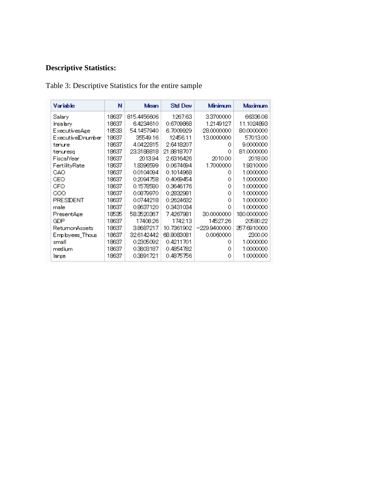# **Descriptive Statistics:**

Table 3: Descriptive Statistics for the entire sample

| Variable          | N                  | Mean        | Std Dev    | Minimum      | Maximum     |
|-------------------|--------------------|-------------|------------|--------------|-------------|
| Salary            | 18637              | 815.4456606 | 1267.63    | 3.3700000    | 66336.08    |
| Insalary          | 18637              | 6.4234610   | 0.6709868  | 1.2149127    | 11.1024893  |
| ExecutivesAge     | 18533              | 54.1457940  | 6.7009929  | 28.0000000   | 80,0000000  |
| Executive@Dnumber | 18637              | 35549.16    | 12456.11   | 13.0000000   | 57013.00    |
| tenure            | 18637              | 4.0422815   | 2.6418207  | 0            | 9.0000000   |
| tenuresq          | 18637              | 23.3188818  | 21.8818707 | 0            | 81.0000000  |
| <b>FiscalYear</b> | 18637              | 201394      | 2.6316426  | 2010.00      | 2018.00     |
| FertilityRate     | 18637              | 1.8396599   | 0.0674694  | 1.7000000    | 1.9310000   |
| CAO.              | 19637              | 0.0104094   | 0.1014968  | 0            | 1.0000000   |
| CEO               | 18637              | 0.2094758   | 0.4069454  | 0            | 1.0000000   |
| CFO.              | 18637              | 0.1578580   | 0.3646176  | Ω            | 1.0000000   |
| COO               | 18637              | 0.0879970   | 0.2832981  | 0            | 1.0000000   |
| PRESIDENT         | 0.0744218<br>18637 |             | 0.2624632  | 0            | 1.0000000   |
| male              | 0.8637120<br>18637 |             | 0.3431034  | 0            | 1.0000000   |
| PresentAge        | 18535              | 58.3520367  | 7.4267981  | 30,0000000   | 180.0000000 |
| GDP.              | 19637              | 17408.26    | 1742.13    | 1452726      | 20580.22    |
| RetumonAssets     | 18637              | 3.8687217   | 10.7361902 | -229.9400000 | 357.6910000 |
| Employees_Thous   | 18637              | 32.6142442  | 68.8083081 | 0.0060000    | 2300.00     |
| small             | 18637              | 0.2305092   | 0.4211701  | 0            | 1.0000000   |
| medium            | 18637              | 0.3303187   | 0.4854782  | ο            | 1.0000000   |
| large             | 18637              | 0.3391721   | 0.4875756  | Ω            | 1.0000000   |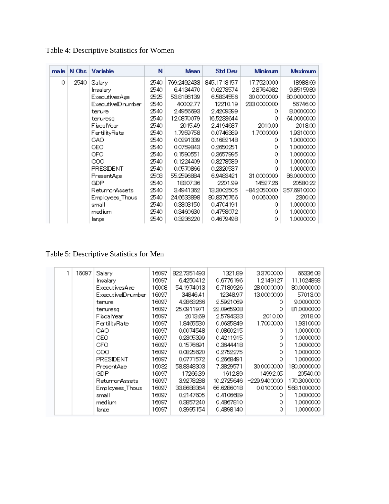| $m$ ale $\parallel$ | $N$ Obs | Variable              | Ν     | Mean        | Std Dev     | Minimum     | <b>Maximum</b> |
|---------------------|---------|-----------------------|-------|-------------|-------------|-------------|----------------|
| 0                   | 2540    | Salary                | 2540  | 769.2492433 | 845.1713157 | 17.7520000  | 18988.69       |
|                     |         | Insalary              | 2540  | 6.4134470   | 0.6273574   | 28764982    | 98515989       |
|                     |         | <b>ExecutivesAge</b>  | 2525  | 53.8186139  | 6.5834556   | 30,0000000  | 80,000,000     |
|                     |         | ExecutiveIDnumber     | 2540. | 40002.77    | 12210.19    | 233.0000000 | 56746.00       |
|                     |         | tenure                | 2540. | 2.4956693   | 2.4209399   | 0           | 8.0000000      |
|                     |         | tenuresq              | 2540  | 12.0870079  | 16.5233644  | 0           | 64.0000000     |
|                     |         | FiscalYear            | 2540  | 2015.49     | 2.4194637   | 2010.00     | 2018.00        |
|                     |         | FertilityRate         | 2540. | 1.7959758   | 0.0746389   | 1.7000000   | 1.9310000      |
|                     |         | GAO.                  | 2540  | 0.0291339   | 0.1682148   | 0           | 1.0000000      |
|                     |         | CEO.                  | 2540  | 0.0759843   | 0.2650251   | 0.          | 1.0000000      |
|                     |         | CFO.                  | 2540  | 0.1590551   | 0.3657995   | 0.          | 1.0000000      |
|                     |         | COO.                  | 2540  | 0.1224409   | 0.3278589   | 0           | 1.0000000      |
|                     |         | PRESIDENT             | 2540  | 0.0570866   | 0.2320537   | 0           | 1.0000000      |
|                     |         | PresentAge            | 2503  | 55.2596884  | 6.9483421   | 31.0000000  | 86.0000000     |
|                     |         | <b>GDP</b>            | 2540  | 18307.36    | 2201.99     | 14527.26    | 20580.22       |
|                     |         | <b>ReturnonAssets</b> | 2540. | 3.4941362   | 13.3002505  | -84 2050000 | 357.6910000    |
|                     |         | Employees_Thous       | 2540  | 24.6633898  | 80.8376766  | 0.0060000   | 2300.00        |
|                     |         | small                 | 2540  | 0.3303150   | 0.4704191   | 0           | 1.0000000      |
|                     |         | medium                | 2540  | 0.3460630   | 0.4758072   | 0           | 1.0000000      |
|                     |         | large                 | 2540  | 0.3236220   | 0.4679498   | 0           | 1.0000000      |

Table 5: Descriptive Statistics for Men

|  | 16097 | Salary                | 16097 | 822.7351493 | 1321.89    | 33700000      | 66336.08    |
|--|-------|-----------------------|-------|-------------|------------|---------------|-------------|
|  |       | Insalary              | 16097 | 6.4250412   | 0.6776196  | 12149127      | 11.1024893  |
|  |       | <b>ExecutivesAge</b>  | 16008 | 54.1974013  | 6.7180926  | 28,0000000    | 80,000,000  |
|  |       | Executive@number      | 16097 | 34846.41    | 12348.97   | 13.0000000    | 57013.00    |
|  |       | tenure                | 16097 | 4.2863266   | 2.5921069  | 0             | 9.0000000   |
|  |       | tenuresq              | 16097 | 25.0911971  | 22.0965908 | 0.            | 81.0000000  |
|  |       | FiscalYear            | 16097 | 2013.69     | 2.5794333  | 2010.00       | 2018.00     |
|  |       | FertilityRate         | 16097 | 1.8465530   | 0.0635849  | 1.7000000     | 1.9310000   |
|  |       | GAO.                  | 16097 | 0.0074548   | 0.0860215  | 0             | 1.0000000   |
|  |       | CEO.                  | 16097 | 0.2305399   | 0.4211915  | 0.            | 1.0000000   |
|  |       | CFO.                  | 16097 | 0.1576691   | 0.3644418  | 0.            | 1.0000000   |
|  |       | COO.                  | 16097 | 0.0825620   | 0.2752275  | 0.            | 1.0000000   |
|  |       | PRESIDENT             | 16097 | 0.0771572   | 0.2668491  | 0             | 1.0000000   |
|  |       | PresentAge            | 16032 | 58.8348303  | 7.3829571  | 30,000,000    | 180.0000000 |
|  |       | GDP.                  | 16097 | 17266.39    | 1612.89    | 14992.05      | 20540.00    |
|  |       | <b>ReturnonAssets</b> | 16097 | 3.9278288   | 10.2725646 | $-2299400000$ | 170.3000000 |
|  |       | Employees Thous       | 16097 | 33.8688364  | 66.6286018 | 0.0100000     | 568.1000000 |
|  |       | small                 | 16097 | 0.2147605   | 0.4106689  | 0             | 1.0000000   |
|  |       | medium                | 16097 | 0.3857240   | 0.4867810  | 0.            | 1.0000000   |
|  |       | large                 | 16097 | 0.3995154   | 0.4898140  | 0             | 1.0000000   |
|  |       |                       |       |             |            |               |             |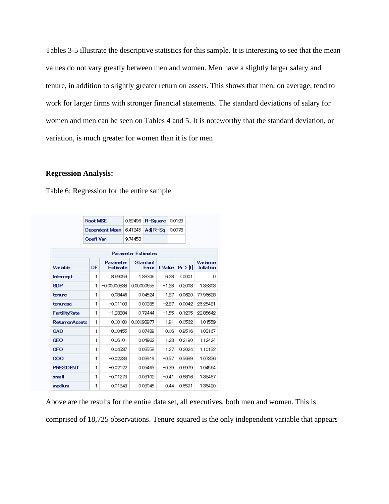Tables 3-5 illustrate the descriptive statistics for this sample. It is interesting to see that the mean values do not vary greatly between men and women. Men have a slightly larger salary and tenure, in addition to slightly greater return on assets. This shows that men, on average, tend to work for larger firms with stronger financial statements. The standard deviations of salary for women and men can be seen on Tables 4 and 5. It is noteworthy that the standard deviation, or variation, is much greater for women than it is for men

#### **Regression Analysis:**

Table 6: Regression for the entire sample

|                                          | <b>Root MSE</b>  |                 |            | 0.62496<br>R-Square |      | 0.0123  |                         |        |                  |
|------------------------------------------|------------------|-----------------|------------|---------------------|------|---------|-------------------------|--------|------------------|
|                                          |                  | Dependent Mean  |            | 6.41345<br>Adi R-Sa |      | 0.0076  |                         |        |                  |
|                                          | <b>Coeff Var</b> |                 | 9.74453    |                     |      |         |                         |        |                  |
| <b>Parameter Estimates</b>               |                  |                 |            |                     |      |         |                         |        |                  |
| <b>Standard</b><br>Variance<br>Parameter |                  |                 |            |                     |      |         |                         |        |                  |
| Variable                                 | DF               | <b>Estimate</b> |            | Error               |      |         | $Pr$ $>$ $H$<br>t Value |        | <b>Inflation</b> |
| Intercept                                | 1                | 8.69059         |            | 1.38306             |      | 6.28    |                         | < 0001 | 0                |
| <b>GDP</b>                               | 1                | $-0.00000838$   |            | 0.00000655          |      | $-1.28$ |                         | 02008  | 1,35303          |
| tenure                                   | 1                | 0.08446         |            | 0.04524             |      | 1.87    |                         | 0.0620 | 77.96628         |
| tenuresq                                 | 1                | $-0.01103$      |            | 0.00385             |      | $-2.87$ |                         | 0.0042 | 26.25481         |
| <b>FertilityRate</b>                     | 1                | $-1.23384$      |            | 0.79444             |      | $-1.55$ |                         | 0.1205 | 22.85642         |
| <b>ReturnanAssets</b>                    | 1                | 0.00180         | 0.00093977 |                     |      | 1.91    |                         | 0.0562 | 1.01559          |
| CAO                                      | 1                | 0.00455         | 0.07489    |                     |      | 0.06    |                         | 09516  | 1.03167          |
| <b>CEO</b>                               | 1                | 0.06101         |            | 0.04962             | 1.23 |         | 02190                   |        | 1.12424          |
| <b>CFO</b>                               | 1                | 0.04537         |            | 0.03558             |      | 1.27    | 0.2024                  |        | 1.10132          |
| 000                                      | 1                | $-0.02233$      |            | 0.03919             |      | $-0.57$ | 05639                   |        | 1.07336          |
| <b>PRESDENT</b>                          | 1                | $-0.02122$      |            | 0.05465             |      | $-0.39$ | 0.6979                  |        | 1.04564          |
| small                                    | 1                | $-0.01273$      |            | 0.03102             |      | $-0.41$ | 0.6816                  |        | 1.38467          |
| medium                                   | 1                | 0.01343         |            | 0.03045             |      | 0.44    | 0.6591                  |        | 1.36420          |

Above are the results for the entire data set, all executives, both men and women. This is

comprised of 18,725 observations. Tenure squared is the only independent variable that appears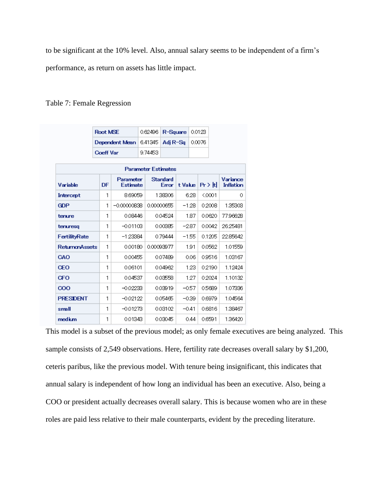to be significant at the 10% level. Also, annual salary seems to be independent of a firm's performance, as return on assets has little impact.

## Table 7: Female Regression

|                            | Root MSE              |                | 0.62496           |            | R-Square |         | 0.0123       |        |                       |          |   |
|----------------------------|-----------------------|----------------|-------------------|------------|----------|---------|--------------|--------|-----------------------|----------|---|
|                            |                       | Dependent Mean | 6.41345           |            | Adi R-Sa |         | 0.0076       |        |                       |          |   |
|                            | <b>Coeff Var</b>      | 9.74453        |                   |            |          |         |              |        |                       |          |   |
| <b>Parameter Estimates</b> |                       |                |                   |            |          |         |              |        |                       |          |   |
| Variable                   | Parameter<br>Estimate |                | Standard<br>Error |            | t Value  |         | $Pr$ $>$ $H$ |        | Variance<br>Inflation |          |   |
| Intercept                  | 1                     | 8.69059        |                   |            | 1,38306  |         | 6.28         |        | < 0001                |          | 0 |
| <b>GDP</b>                 | 1                     | $-0.00000838$  |                   | 0.00000655 |          | $-1.28$ |              |        | 0.2008                | 1.35303  |   |
| tenure                     | 1                     | 0.08446        |                   | 0.04524    |          | 1.87    |              | 0.0620 |                       | 77.96628 |   |
| tenuresq                   | 1                     | $-0.01103$     |                   |            | 0.00385  |         | $-2.87$      | 0.0042 |                       | 26.25481 |   |
| FertilityRate              | 1                     | $-123384$      |                   | 0.79444    |          | $-1.55$ |              |        | 0.1205                | 22.85642 |   |
| <b>ReturnanAssets</b>      | 1                     | 0.00180        |                   | 0.00093977 |          | 1.91    |              | 0.0562 |                       | 1.01559  |   |
| CAO                        | 1                     | 0.00455        |                   | 0.07489    |          | 0.06    |              |        | 09516                 | 1.03167  |   |
| <b>CEO</b>                 | 1                     | 0.06101        |                   | 0.04962    |          | 1.23    |              | 02190  |                       | 1.12424  |   |
| <b>CFO</b>                 | 1                     | 0.04537        |                   |            | 0.03558  | 1.27    |              | 0.2024 |                       | 1.10132  |   |
| 000                        | 1                     | $-0.02233$     |                   | 0.03919    |          | $-0.57$ |              | 0.5689 |                       | 1.07336  |   |
| <b>PRESDENT</b>            | 1                     | $-0.02122$     |                   | 0.05465    |          |         | $-0.39$      |        | 0.6979                | 1.04564  |   |
| small                      | 1                     | $-0.01273$     |                   |            | 0.03102  |         | $-0.41$      |        | 0.6816                | 1.38467  |   |
| medium                     | 1                     | 0.01343        |                   | 0.03045    |          | 0.44    |              |        | 0.6591                | 1.36420  |   |

This model is a subset of the previous model; as only female executives are being analyzed. This sample consists of 2,549 observations. Here, fertility rate decreases overall salary by \$1,200, ceteris paribus, like the previous model. With tenure being insignificant, this indicates that annual salary is independent of how long an individual has been an executive. Also, being a COO or president actually decreases overall salary. This is because women who are in these roles are paid less relative to their male counterparts, evident by the preceding literature.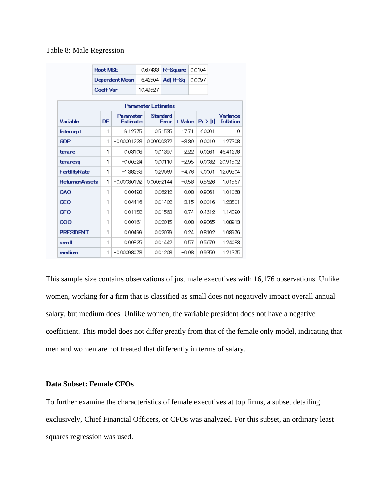#### Table 8: Male Regression

|                       |                            | <b>Root MSE</b>       |  | 0.67433    |                   | R-Sauare |      | 0.0104     |  |                              |
|-----------------------|----------------------------|-----------------------|--|------------|-------------------|----------|------|------------|--|------------------------------|
|                       |                            | Dependent Mean        |  | 6.42504    | Adi R-Sa          |          |      | 0.0097     |  |                              |
|                       | <b>Coeff Var</b>           |                       |  | 10.49527   |                   |          |      |            |  |                              |
|                       | <b>Parameter Estimates</b> |                       |  |            |                   |          |      |            |  |                              |
| Variable              | DF                         | Parameter<br>Estimate |  |            | Standard<br>Error | t Vake   |      | $Pr$ > $H$ |  | Variance<br><b>Inflation</b> |
| Intercept             | 1                          | 9.12575               |  |            | 0.51535           | 17.71    |      | < 0001     |  | Ω                            |
| <b>GDP</b>            | 1                          | $-0.00001228$         |  | 0.00000372 |                   | $-3.30$  |      | 0.0010     |  | 1.27308                      |
| tenure                | 1                          | 0.03108               |  |            | 0.01397           |          | 2.22 | 0.0261     |  | 46.41298                     |
| tenuresq              | 1                          | $-0.00324$            |  |            | 0.00110           | $-2.95$  |      | 0.0032     |  | 20.91502                     |
| FertilityRate         | 1                          | $-1.38253$            |  |            | 029069            | $-4.76$  |      | < 0001     |  | 12.09304                     |
| <b>ReturnanAssets</b> | 1                          | $-0.00030192$         |  | 0.00052144 |                   | $-0.58$  |      | 0.5626     |  | 1.01567                      |
| CAO                   | 1                          | $-0.00498$            |  |            | 0.06212           | $-0.08$  |      | 0.9361     |  | 1.01068                      |
| ŒO                    | 1                          | 0.04416               |  |            | 0.01402           |          | 3.15 | 0.0016     |  | 1.23501                      |
| <b>CFO</b>            | 1                          | 0.01152               |  |            | 0.01563           |          | 0.74 | 0.4612     |  | 1.14890                      |
| 000                   | 1                          | $-0.00161$            |  |            | 0.02015           | $-0.08$  |      | 09365      |  | 1.08913                      |
| <b>PRESDENT</b>       | 1                          | 0.00499               |  |            | 0.02079           |          | 0.24 | 08102      |  | 1.08976                      |
| small                 | 1                          | 0.00825               |  |            | 0.01442           |          | 0.57 | 0.5670     |  | 1.24083                      |
| medium                | 1                          | $-0.00098078$         |  |            | 0.01203           | $-0.08$  |      | 09350      |  | 1.21375                      |

This sample size contains observations of just male executives with 16,176 observations. Unlike women, working for a firm that is classified as small does not negatively impact overall annual salary, but medium does. Unlike women, the variable president does not have a negative coefficient. This model does not differ greatly from that of the female only model, indicating that men and women are not treated that differently in terms of salary.

## **Data Subset: Female CFOs**

To further examine the characteristics of female executives at top firms, a subset detailing exclusively, Chief Financial Officers, or CFOs was analyzed. For this subset, an ordinary least squares regression was used.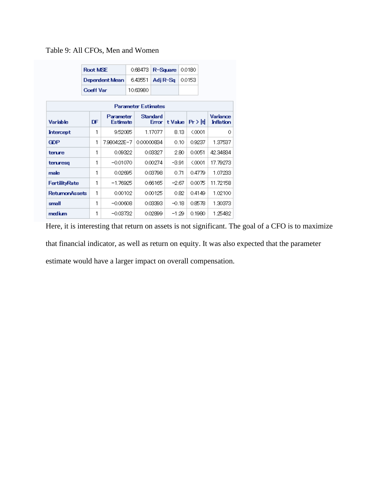## Table 9: All CFOs, Men and Women

|                            | <b>Root MSE</b>  |                              |  | 0.68473    |                          | R-Square | 0.0180 |           |  |                              |
|----------------------------|------------------|------------------------------|--|------------|--------------------------|----------|--------|-----------|--|------------------------------|
|                            |                  | Dependent Mean               |  | 6.43551    | Adj R-Sq                 |          | 0.0153 |           |  |                              |
|                            | <b>Coeff Var</b> |                              |  | 10.63980   |                          |          |        |           |  |                              |
| <b>Parameter Estimates</b> |                  |                              |  |            |                          |          |        |           |  |                              |
| <b>Variable</b>            | DF               | Parameter<br><b>Estimate</b> |  |            | <b>Standard</b><br>Error | t Value  |        | ∣Pr > Itl |  | Variance<br><b>Inflation</b> |
| Intercept                  | 1                | 9.52085                      |  |            | 1.17077                  |          | 8.13   | $0001$    |  | 0                            |
| <b>GDP</b>                 | 1                | 7.980422E-7                  |  | 0.00000834 |                          |          | 0.10   | 0.9237    |  | 1.37537                      |
| terure                     | 1                | 0.09322                      |  |            | 0.03327                  |          | 2.80   | 0.0051    |  | 42.34834                     |
| teruresq                   | 1                | $-0.01070$                   |  |            | 0.00274                  | $-3.91$  |        | $0001$    |  | 17.79273                     |
| male                       | 1                | 0.02695                      |  |            | 0.03798                  |          | 0.71   | 0.4779    |  | 1.07233                      |
| <b>FertilityRate</b>       | 1                | $-1.76925$                   |  |            | 0.66165                  | -2.67    |        | 0.0075    |  | 11.72158                     |
| <b>ReturnonAssets</b>      | 1                | 0.00102                      |  |            | 0.00125                  |          | 0.82   | 0.4149    |  | 1.02100                      |
| small                      | 1                | $-0.00608$                   |  |            | 0.03393                  | $-0.18$  |        | 0.8578    |  | 1.30373                      |
| medium                     | 1                | $-0.03732$                   |  |            | 0.02899                  | $-1.29$  |        | 0.1980    |  | 1.25482                      |

Here, it is interesting that return on assets is not significant. The goal of a CFO is to maximize

that financial indicator, as well as return on equity. It was also expected that the parameter

estimate would have a larger impact on overall compensation.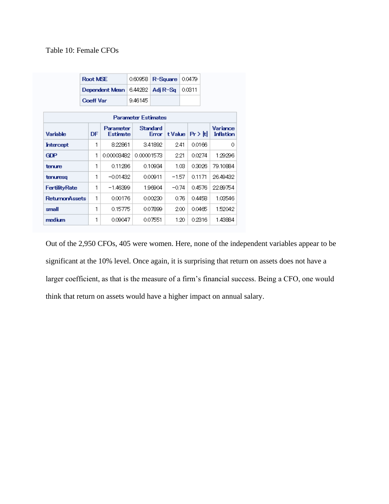## Table 10: Female CFOs

|                            | Root MSE         |                              | 0.60958                      | R-Square |          | 0.0479 |                |  |                              |
|----------------------------|------------------|------------------------------|------------------------------|----------|----------|--------|----------------|--|------------------------------|
|                            |                  | Dependent Mean               | 6.44282                      |          | Adi R-Sa | 0.0311 |                |  |                              |
|                            | <b>Coeff Var</b> |                              | 9.46145                      |          |          |        |                |  |                              |
| <b>Parameter Estimates</b> |                  |                              |                              |          |          |        |                |  |                              |
| Variable                   | DF               | Parameter<br><b>Estimate</b> | Standard<br>t Value<br>Error |          |          |        | $Pr$ $>$ $ t $ |  | Variance<br><b>Inflation</b> |
| Intercept                  | 1                | 8.22861                      |                              | 3.41892  | 2.41     |        | 0.0166         |  | 0                            |
| <b>GDP</b>                 | 1                | 0.00003482                   | 0.00001573                   |          | 2.21     |        | 0.0274         |  | 1.29296                      |
| tenure                     | 1                | 0.11286                      |                              | 0.10934  |          | 1.03.  | 0.3026         |  | 79.10884                     |
| tenuresq                   | 1                | $-0.01432$                   |                              | 0.00911  | -1.57    |        | 0.1171         |  | 26.49432                     |
| <b>FertilityRate</b>       | 1                | $-1.46399$                   |                              | 1.96904  | $-0.74$  |        | 0.4576         |  | 2289754                      |
| <b>ReturnonAssets</b>      | 1                | 0.00176                      |                              | 0.00230  |          | 0.76   | 0.4458         |  | 1.03546                      |
| small                      | 1                | 0.15775                      |                              | 0.07899  |          | 2.00   | 0.0465         |  | 1.52042                      |
| medium                     | 1                | 0.09047                      |                              | 0.07551  |          | 1.20   | 0.2316         |  | 1.43884                      |

Out of the 2,950 CFOs, 405 were women. Here, none of the independent variables appear to be significant at the 10% level. Once again, it is surprising that return on assets does not have a larger coefficient, as that is the measure of a firm's financial success. Being a CFO, one would think that return on assets would have a higher impact on annual salary.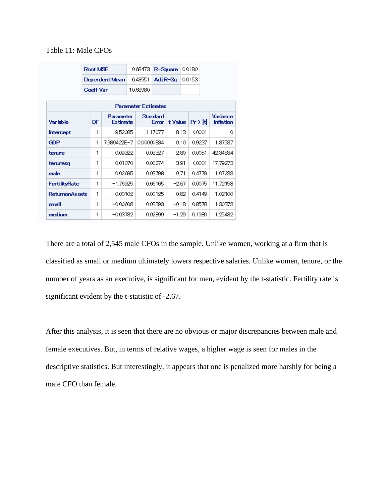## Table 11: Male CFOs

|                            | <b>Root MSE</b> |                       |  | 0.68473    |                   | R-Square           | 0.0180 |        |  |                              |
|----------------------------|-----------------|-----------------------|--|------------|-------------------|--------------------|--------|--------|--|------------------------------|
|                            |                 | Dependent Mean        |  | 6.43551    | Adj R-Sq          |                    | 0.0153 |        |  |                              |
|                            | Coeff Var       |                       |  | 10.63980   |                   |                    |        |        |  |                              |
| <b>Parameter Estimates</b> |                 |                       |  |            |                   |                    |        |        |  |                              |
| Variable                   | DF              | Parameter<br>Estimate |  |            | Standard<br>Error | t Value   Pr >   t |        |        |  | Variance<br><b>Inflation</b> |
| Intercept                  | 1               | 9.52085               |  |            | 1.17077           |                    | 8.13   | $0001$ |  | 0                            |
| <b>GDP</b>                 | 1               | 7.980422E-7           |  | 0.00000834 |                   |                    | 0.10   | 0.9237 |  | 1.37537                      |
| terure                     | 1               | 0.09322               |  |            | 0.03327           |                    | 2.80   | 0.0051 |  | 42.34834                     |
| teruresq                   | 1               | $-0.01070$            |  |            | 0.00274           | $-3.91$            |        | < 0001 |  | 17.79273                     |
| male                       | 1               | 0.02695               |  |            | 0.03798           |                    | 0.71   | 0.4779 |  | 1.07233                      |
| <b>FertilityRate</b>       | 1               | $-1.76925$            |  |            | 0.66165           | $-2.67$            |        | 0.0075 |  | 11.72158                     |
| <b>ReturnonAssets</b>      | 1               | 0.00102               |  |            | 0.00125           |                    | 0.82   | 0.4149 |  | 1.02100                      |
| small                      | 1               | $-0.00608$            |  |            | 0.03393           | $-0.18$            |        | 0.8578 |  | 1.30373                      |
| medium                     | 1               | $-0.03732$            |  |            | 0.02899           | $-1.29$            |        | 0.1980 |  | 1.25482                      |

There are a total of 2,545 male CFOs in the sample. Unlike women, working at a firm that is classified as small or medium ultimately lowers respective salaries. Unlike women, tenure, or the number of years as an executive, is significant for men, evident by the t-statistic. Fertility rate is significant evident by the t-statistic of -2.67.

After this analysis, it is seen that there are no obvious or major discrepancies between male and female executives. But, in terms of relative wages, a higher wage is seen for males in the descriptive statistics. But interestingly, it appears that one is penalized more harshly for being a male CFO than female.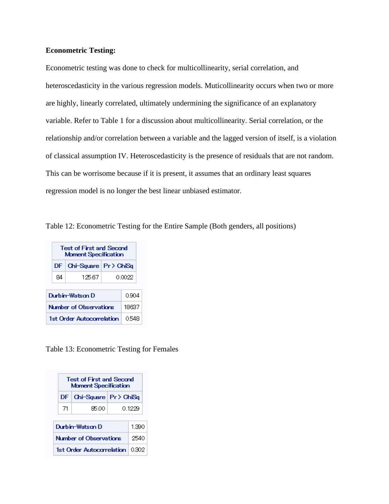### **Econometric Testing:**

Econometric testing was done to check for multicollinearity, serial correlation, and heteroscedasticity in the various regression models. Muticollinearity occurs when two or more are highly, linearly correlated, ultimately undermining the significance of an explanatory variable. Refer to Table 1 for a discussion about multicollinearity. Serial correlation, or the relationship and/or correlation between a variable and the lagged version of itself, is a violation of classical assumption IV. Heteroscedasticity is the presence of residuals that are not random. This can be worrisome because if it is present, it assumes that an ordinary least squares regression model is no longer the best linear unbiased estimator.

Table 12: Econometric Testing for the Entire Sample (Both genders, all positions)

| <b>Test of First and Second</b><br><b>Moment Specification</b> |                         |  |        |  |  |  |  |
|----------------------------------------------------------------|-------------------------|--|--------|--|--|--|--|
| DF                                                             | Chi-Square   Pr > ChiSq |  |        |  |  |  |  |
| 84                                                             | 12567                   |  | 0.0022 |  |  |  |  |
|                                                                |                         |  |        |  |  |  |  |
|                                                                | Durhin-Watson D         |  | 0.904  |  |  |  |  |
| Number of Observations<br>18637                                |                         |  |        |  |  |  |  |
| 1st Order Autocorrelation<br>0548                              |                         |  |        |  |  |  |  |

Table 13: Econometric Testing for Females

| <b>Test of First and Second</b><br><b>Moment Specification</b> |      |                         |  |  |  |  |  |
|----------------------------------------------------------------|------|-------------------------|--|--|--|--|--|
| DF.                                                            |      | Chi-Square   Pr > ChiSg |  |  |  |  |  |
| -71                                                            | 8500 | 0.1229                  |  |  |  |  |  |
| Durhin-Watson D                                                |      |                         |  |  |  |  |  |
| Number of Observations                                         |      |                         |  |  |  |  |  |
| 1st Order Autocorrelation                                      |      |                         |  |  |  |  |  |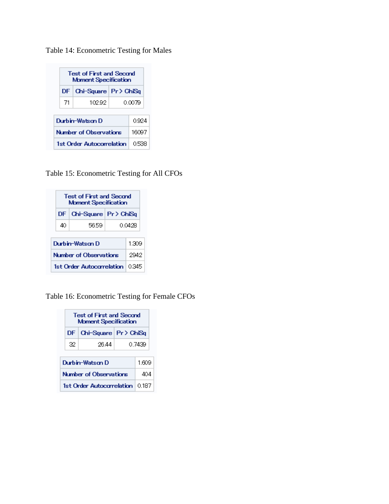Table 14: Econometric Testing for Males

| <b>Test of First and Second</b><br><b>Moment Specification</b> |                         |        |  |  |  |  |  |
|----------------------------------------------------------------|-------------------------|--------|--|--|--|--|--|
| DF.                                                            | Chi-Square   Pr > ChiSq |        |  |  |  |  |  |
| -71                                                            | 10292                   | 0.0079 |  |  |  |  |  |
| Durhin-Watson D<br>0924                                        |                         |        |  |  |  |  |  |
| Number of Observations                                         | 16097                   |        |  |  |  |  |  |
| 1st Order Autocorrelation<br>0.538                             |                         |        |  |  |  |  |  |

Table 15: Econometric Testing for All CFOs

| <b>Test of First and Second</b><br><b>Moment Specification</b> |      |        |  |  |  |  |  |
|----------------------------------------------------------------|------|--------|--|--|--|--|--|
| $Chi-Square \,   \, Pr \, \rangle$ ChiSq<br>DF.                |      |        |  |  |  |  |  |
| 40                                                             | 5659 | 0.0428 |  |  |  |  |  |
| Durhin-Watson D<br>1309                                        |      |        |  |  |  |  |  |
| Number of Observations<br>2942                                 |      |        |  |  |  |  |  |
| 1st Order Autocorrelation<br>0.345                             |      |        |  |  |  |  |  |

Table 16: Econometric Testing for Female CFOs

| <b>Test of First and Second</b><br><b>Moment Specification</b> |       |        |  |  |  |  |  |
|----------------------------------------------------------------|-------|--------|--|--|--|--|--|
| $Chi-Square \,   \, Pr \, \rangle$ ChiSg<br>DF.                |       |        |  |  |  |  |  |
| 32                                                             | 26.44 | 0.7439 |  |  |  |  |  |
| Durhin-Watson D<br>1609                                        |       |        |  |  |  |  |  |
| Number of Observations<br>404                                  |       |        |  |  |  |  |  |
| 1st Order Autocorrelation<br>0.187                             |       |        |  |  |  |  |  |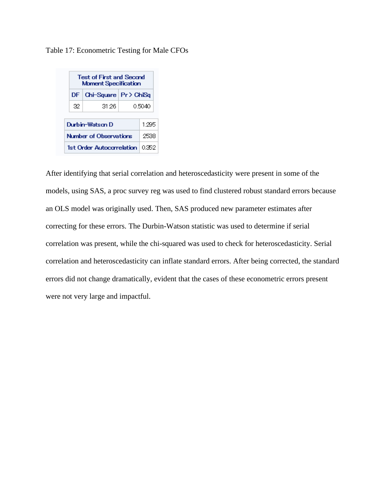Table 17: Econometric Testing for Male CFOs



After identifying that serial correlation and heteroscedasticity were present in some of the models, using SAS, a proc survey reg was used to find clustered robust standard errors because an OLS model was originally used. Then, SAS produced new parameter estimates after correcting for these errors. The Durbin-Watson statistic was used to determine if serial correlation was present, while the chi-squared was used to check for heteroscedasticity. Serial correlation and heteroscedasticity can inflate standard errors. After being corrected, the standard errors did not change dramatically, evident that the cases of these econometric errors present were not very large and impactful.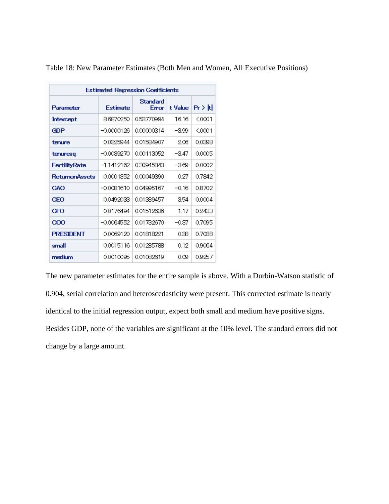| <b>Estimated Regression Coefficients</b> |                 |                   |         |                        |  |  |  |  |  |
|------------------------------------------|-----------------|-------------------|---------|------------------------|--|--|--|--|--|
| Parameter                                | <b>Estimate</b> | Standard<br>Error | t Value | $Pr$ $\rightarrow$ $H$ |  |  |  |  |  |
| Intercept                                | 8.6870250       | 0.53770994        | 16.16   | < 0001                 |  |  |  |  |  |
| <b>GDP</b>                               | $-0.0000126$    | 0.00000314        | -3.99   | $0001$                 |  |  |  |  |  |
| tenure                                   | 0.0325944       | 0.01584907        | 2.06    | 0.0398                 |  |  |  |  |  |
| tenuresq                                 | $-0.0039270$    | 0.00113052        | -3.47   | 0.0005                 |  |  |  |  |  |
| <b>FertilityRate</b>                     | $-1.1412162$    | 0.30945843        | -3.69   | 0.0002                 |  |  |  |  |  |
| <b>ReturnmAssets</b>                     | 0.0001352       | 0.00049390        | 0.27    | 0.7842                 |  |  |  |  |  |
| <b>GAO</b>                               | $-0.0081610$    | 0.04995167        | $-0.16$ | 0.8702                 |  |  |  |  |  |
| ŒO                                       | 0.0492033       | 0.01389457        | 3.54    | 0.0004                 |  |  |  |  |  |
| ŒO                                       | 0.0176494       | 0.01512636        | 1.17    | 0.2433                 |  |  |  |  |  |
| 000                                      | $-0.0064552$    | 0.01732670        | -0.37   | 0.7095                 |  |  |  |  |  |
| <b>PRESIDENT</b>                         | 0.0069120       | 0.01818221        | 0.38    | 0.7038                 |  |  |  |  |  |
| small                                    | 0.0015116       | 0.01285788        | 0.12    | 0.9064                 |  |  |  |  |  |
| medium                                   | 0.0010095       | 0.01082619        | 0.09    | 0.9257                 |  |  |  |  |  |

Table 18: New Parameter Estimates (Both Men and Women, All Executive Positions)

The new parameter estimates for the entire sample is above. With a Durbin-Watson statistic of 0.904, serial correlation and heteroscedasticity were present. This corrected estimate is nearly identical to the initial regression output, expect both small and medium have positive signs. Besides GDP, none of the variables are significant at the 10% level. The standard errors did not change by a large amount.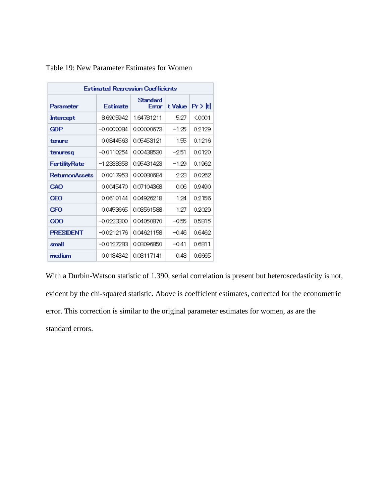|                       | <b>Estimated Regression Coefficients</b> |                  |         |                 |
|-----------------------|------------------------------------------|------------------|---------|-----------------|
| Parameter             | <b>Estimate</b>                          | Standard<br>Emor | t Value | $ Pr$ $>$ $ t $ |
| Intercept             | 8.6905942                                | 1.64781211       | 5.27    | $0001$          |
| GDP                   | $-0.0000084$                             | 0.00000673       | -1.25   | 0.2129          |
| tenure                | 0.0844563                                | 0.05453121       | 155     | 0.1216          |
| tenuresq              | $-0.0110254$                             | 0.00438530       | $-2.51$ | 0.0120          |
| FertilityRate         | $-1,2338358$                             | 0.95431423       | $-1.29$ | 0.1962          |
| <b>ReturnonAssets</b> | 0.0017953                                | 0.00080684       | 223     | 0.0262          |
| CAO                   | 0.0045470                                | 0.07104368       | 006     | 0.9490          |
| ŒO                    | 0.0610144                                | 0.04926218       | 1 24    | 0.2156          |
| ŒO                    | 0.0453665                                | 0.03561588       | 1.27    | 0.2029          |
| 000                   | $-0.0223300$                             | 0.04050870       | -0.55   | 0.5815          |
| <b>PRESIDENT</b>      | $-0.0212176$                             | 0.04621158       | $-0.46$ | 0.6462          |
| small                 | -0.0127283                               | 0.03096350       | $-0.41$ | 0.6811          |
| medium                | 0.0134342                                | 0.03117141       | 043     | 0.6665          |

Table 19: New Parameter Estimates for Women

With a Durbin-Watson statistic of 1.390, serial correlation is present but heteroscedasticity is not, evident by the chi-squared statistic. Above is coefficient estimates, corrected for the econometric error. This correction is similar to the original parameter estimates for women, as are the standard errors.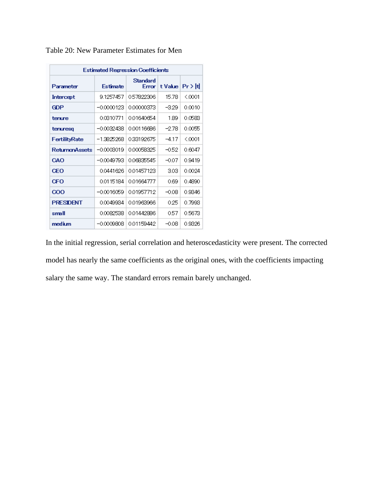|                       | <b>Estimated Regression Coefficients</b> |                   |         |           |
|-----------------------|------------------------------------------|-------------------|---------|-----------|
| Parameter             | <b>Estimate</b>                          | Standard<br>Error | t Value | $Pr$ > It |
| Intercept             | 9.1257457                                | 0.57822306        | 15.78   | ≤ 0001    |
| GDP                   | $-0.0000123$                             | 0.00000373        | -329    | 0.0010    |
| tenure                | 0.0310771                                | 0.01640654        | 189     | 0.0583    |
| tenuresq              | -0.0032438                               | 0.00116686        | -2.78   | 0.0055    |
| FertilityRate         | -13825268                                | 0.33192675        | $-417$  | < 0001    |
| <b>ReturnanAssets</b> | $-0.0003019$                             | 0.00058325        | $-0.52$ | 0.6047    |
| CAO                   | $-0.0049793$                             | 0.06835545        | -0.07   | 0.9419    |
| ŒO                    | 00441626                                 | 001457123         | 303     | 0.0024    |
| ŒO                    | 0.0115184                                | 001664777         | 069     | 0.4890    |
| 000                   | $-0.0016059$                             | 001957712         | $-0.08$ | 0.9346    |
| <b>PRESDENT</b>       | 0.0049934                                | 0.01963966        | 0.25    | 0.7993    |
| small                 | 0.0082538                                | 001442886         | 057     | 0.5673    |
| medium                | $-0.0009808$                             | 001159442         | $-0.08$ | 0.9326    |

Table 20: New Parameter Estimates for Men

In the initial regression, serial correlation and heteroscedasticity were present. The corrected model has nearly the same coefficients as the original ones, with the coefficients impacting salary the same way. The standard errors remain barely unchanged.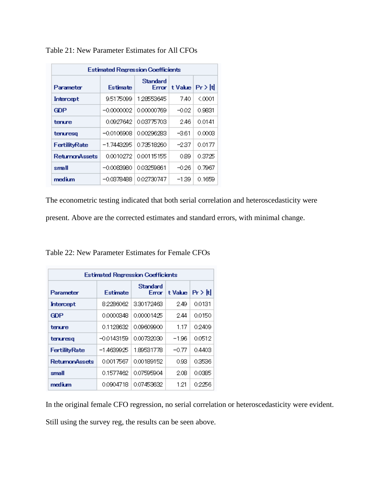| <b>Estimated Regression Coefficients</b> |                 |            |                            |          |  |  |  |  |  |  |
|------------------------------------------|-----------------|------------|----------------------------|----------|--|--|--|--|--|--|
| Parameter                                | <b>Estimate</b> | Standard   | Error   t Value   Pr >   t |          |  |  |  |  |  |  |
| Intercept                                | 9.5175099       | 1.28553645 | 740                        | $<$ 0001 |  |  |  |  |  |  |
| GDP                                      | -0.0000002      | 0.00000769 | -0.02                      | 0.9831   |  |  |  |  |  |  |
| tenure                                   | 0.0927642       | 003775703  | 246                        | 0.0141   |  |  |  |  |  |  |
| tenuresq                                 | -00106908       | 000296283  | -361                       | 0 നന്ദ   |  |  |  |  |  |  |
| FertilityRate                            | -17443295       | 0.73518260 | -237                       | 0.0177   |  |  |  |  |  |  |
| <b>ReturnanAssets</b>                    | 0.0010272       | 0.00115155 | 0.89                       | 0.3725   |  |  |  |  |  |  |
| small                                    | $-0.0083980$    | 0.03259861 | $-0.26$                    | 0.7967   |  |  |  |  |  |  |
| medium                                   | -0.0378488      | 002730747  | $-1.39$                    | 0.1659   |  |  |  |  |  |  |

Table 21: New Parameter Estimates for All CFOs

The econometric testing indicated that both serial correlation and heteroscedasticity were

present. Above are the corrected estimates and standard errors, with minimal change.

| Table 22: New Parameter Estimates for Female CFOs |  |  |
|---------------------------------------------------|--|--|
|---------------------------------------------------|--|--|

| <b>Estimated Regression Coefficients</b> |           |                   |         |           |  |  |  |  |  |
|------------------------------------------|-----------|-------------------|---------|-----------|--|--|--|--|--|
| Parameter                                | Estimate  | Standard<br>Error | t Value | ∣Pr > Itl |  |  |  |  |  |
| Intercept                                | 82286062  | 330172463         | 249     | 0.0131    |  |  |  |  |  |
| GDP                                      | 0.0000348 | 0.00001425        | 244     | 0.0150    |  |  |  |  |  |
| tenure                                   | 01128632  | 0.09609900        | 117     | 0.2409    |  |  |  |  |  |
| tenuresa                                 | -00143159 | 0.00732030        | -196    | 0.0512    |  |  |  |  |  |
| <b>FertilityRate</b>                     | -14639925 | 1.89531778        | -077    | 0.4403    |  |  |  |  |  |
| <b>ReturnonAssets</b>                    | 0.0017567 | 0.00189152        | 0.93    | 0.3536    |  |  |  |  |  |
| small                                    | 0.1577462 | 0.07595904        | 208     | 0.0385    |  |  |  |  |  |
| medium                                   | 0.0904718 | 0.07453632        | 1.21    | 0.2256    |  |  |  |  |  |

In the original female CFO regression, no serial correlation or heteroscedasticity were evident.

Still using the survey reg, the results can be seen above.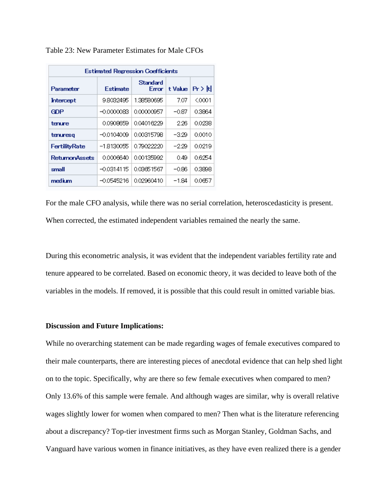| <b>Estimated Regression Coefficients</b> |              |                          |                    |        |  |  |  |  |  |  |
|------------------------------------------|--------------|--------------------------|--------------------|--------|--|--|--|--|--|--|
| Parameter                                | Estimate     | Standard<br><b>Error</b> | t Value   Pr > Itl |        |  |  |  |  |  |  |
| Intercept                                | 98032495     | 1.38580695               | 7.07               | ≤0001  |  |  |  |  |  |  |
| <b>GDP</b>                               | $-0.0000083$ | 0.00000957               | -0.87              | 0.3864 |  |  |  |  |  |  |
| tenure                                   | 0.0908659    | 0.04016229               | 226                | 0.0238 |  |  |  |  |  |  |
| tenuresa                                 | $-0.0104009$ | 0.00315798               | -329               | 0.0010 |  |  |  |  |  |  |
| <b>FertilityRate</b>                     | -18130055    | 0.79022220               | -229               | 0.0219 |  |  |  |  |  |  |
| <b>ReturnonAssets</b>                    | 0.0006640    | 0.00135992               | 0.49               | 0.6254 |  |  |  |  |  |  |
| small                                    | $-0.0314115$ | 0.03651567               | $-0.86$            | 0.3898 |  |  |  |  |  |  |
| medium                                   | $-0.0545216$ | 0.02960410               | $-1.84$            | 0.0657 |  |  |  |  |  |  |

Table 23: New Parameter Estimates for Male CFOs

For the male CFO analysis, while there was no serial correlation, heteroscedasticity is present. When corrected, the estimated independent variables remained the nearly the same.

During this econometric analysis, it was evident that the independent variables fertility rate and tenure appeared to be correlated. Based on economic theory, it was decided to leave both of the variables in the models. If removed, it is possible that this could result in omitted variable bias.

#### **Discussion and Future Implications:**

While no overarching statement can be made regarding wages of female executives compared to their male counterparts, there are interesting pieces of anecdotal evidence that can help shed light on to the topic. Specifically, why are there so few female executives when compared to men? Only 13.6% of this sample were female. And although wages are similar, why is overall relative wages slightly lower for women when compared to men? Then what is the literature referencing about a discrepancy? Top-tier investment firms such as Morgan Stanley, Goldman Sachs, and Vanguard have various women in finance initiatives, as they have even realized there is a gender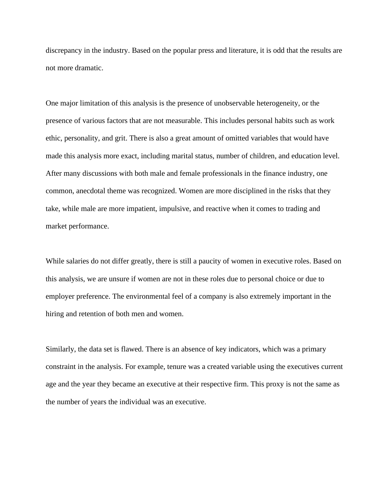discrepancy in the industry. Based on the popular press and literature, it is odd that the results are not more dramatic.

One major limitation of this analysis is the presence of unobservable heterogeneity, or the presence of various factors that are not measurable. This includes personal habits such as work ethic, personality, and grit. There is also a great amount of omitted variables that would have made this analysis more exact, including marital status, number of children, and education level. After many discussions with both male and female professionals in the finance industry, one common, anecdotal theme was recognized. Women are more disciplined in the risks that they take, while male are more impatient, impulsive, and reactive when it comes to trading and market performance.

While salaries do not differ greatly, there is still a paucity of women in executive roles. Based on this analysis, we are unsure if women are not in these roles due to personal choice or due to employer preference. The environmental feel of a company is also extremely important in the hiring and retention of both men and women.

Similarly, the data set is flawed. There is an absence of key indicators, which was a primary constraint in the analysis. For example, tenure was a created variable using the executives current age and the year they became an executive at their respective firm. This proxy is not the same as the number of years the individual was an executive.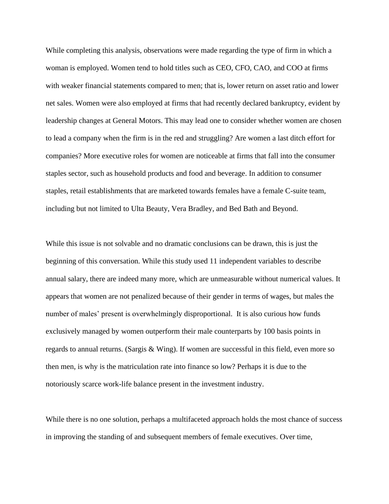While completing this analysis, observations were made regarding the type of firm in which a woman is employed. Women tend to hold titles such as CEO, CFO, CAO, and COO at firms with weaker financial statements compared to men; that is, lower return on asset ratio and lower net sales. Women were also employed at firms that had recently declared bankruptcy, evident by leadership changes at General Motors. This may lead one to consider whether women are chosen to lead a company when the firm is in the red and struggling? Are women a last ditch effort for companies? More executive roles for women are noticeable at firms that fall into the consumer staples sector, such as household products and food and beverage. In addition to consumer staples, retail establishments that are marketed towards females have a female C-suite team, including but not limited to Ulta Beauty, Vera Bradley, and Bed Bath and Beyond.

While this issue is not solvable and no dramatic conclusions can be drawn, this is just the beginning of this conversation. While this study used 11 independent variables to describe annual salary, there are indeed many more, which are unmeasurable without numerical values. It appears that women are not penalized because of their gender in terms of wages, but males the number of males' present is overwhelmingly disproportional. It is also curious how funds exclusively managed by women outperform their male counterparts by 100 basis points in regards to annual returns. (Sargis & Wing). If women are successful in this field, even more so then men, is why is the matriculation rate into finance so low? Perhaps it is due to the notoriously scarce work-life balance present in the investment industry.

While there is no one solution, perhaps a multifaceted approach holds the most chance of success in improving the standing of and subsequent members of female executives. Over time,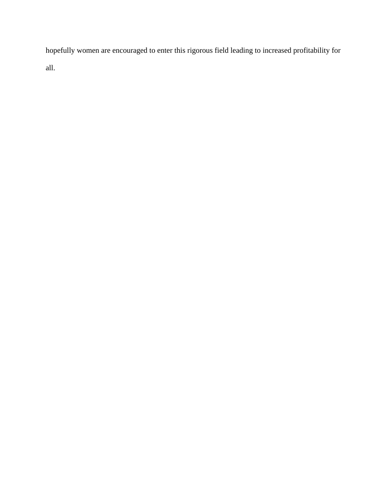hopefully women are encouraged to enter this rigorous field leading to increased profitability for all.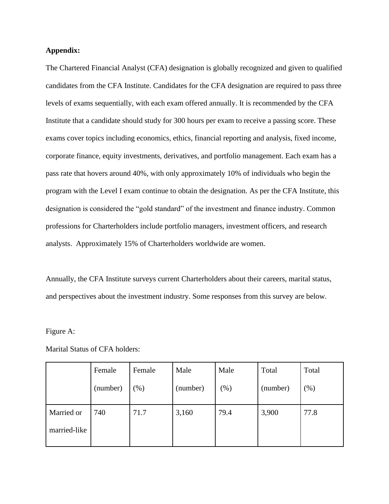### **Appendix:**

The Chartered Financial Analyst (CFA) designation is globally recognized and given to qualified candidates from the CFA Institute. Candidates for the CFA designation are required to pass three levels of exams sequentially, with each exam offered annually. It is recommended by the CFA Institute that a candidate should study for 300 hours per exam to receive a passing score. These exams cover topics including economics, ethics, financial reporting and analysis, fixed income, corporate finance, equity investments, derivatives, and portfolio management. Each exam has a pass rate that hovers around 40%, with only approximately 10% of individuals who begin the program with the Level I exam continue to obtain the designation. As per the CFA Institute, this designation is considered the "gold standard" of the investment and finance industry. Common professions for Charterholders include portfolio managers, investment officers, and research analysts. Approximately 15% of Charterholders worldwide are women.

Annually, the CFA Institute surveys current Charterholders about their careers, marital status, and perspectives about the investment industry. Some responses from this survey are below.

#### Figure A:

|              | Female   | Female | Male     | Male   | Total    | Total   |
|--------------|----------|--------|----------|--------|----------|---------|
|              | (number) | (96)   | (number) | $(\%)$ | (number) | $(\% )$ |
| Married or   | 740      | 71.7   | 3,160    | 79.4   | 3,900    | 77.8    |
| married-like |          |        |          |        |          |         |

Marital Status of CFA holders: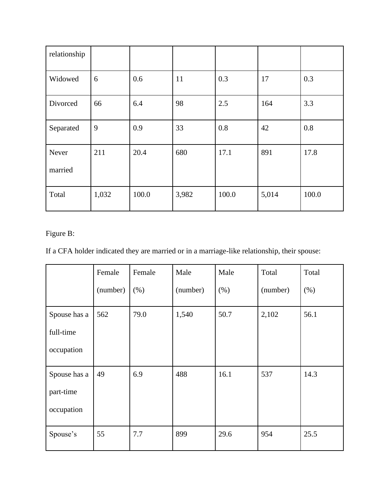| relationship     |       |       |       |       |       |       |
|------------------|-------|-------|-------|-------|-------|-------|
| Widowed          | 6     | 0.6   | 11    | 0.3   | 17    | 0.3   |
| Divorced         | 66    | 6.4   | 98    | 2.5   | 164   | 3.3   |
| Separated        | 9     | 0.9   | 33    | 0.8   | 42    | 0.8   |
| Never<br>married | 211   | 20.4  | 680   | 17.1  | 891   | 17.8  |
| Total            | 1,032 | 100.0 | 3,982 | 100.0 | 5,014 | 100.0 |

## Figure B:

If a CFA holder indicated they are married or in a marriage-like relationship, their spouse:

|              | Female   | Female | Male     | Male | Total    | Total |
|--------------|----------|--------|----------|------|----------|-------|
|              | (number) | (% )   | (number) | (% ) | (number) | (% )  |
| Spouse has a | 562      | 79.0   | 1,540    | 50.7 | 2,102    | 56.1  |
| full-time    |          |        |          |      |          |       |
| occupation   |          |        |          |      |          |       |
| Spouse has a | 49       | 6.9    | 488      | 16.1 | 537      | 14.3  |
| part-time    |          |        |          |      |          |       |
| occupation   |          |        |          |      |          |       |
| Spouse's     | 55       | 7.7    | 899      | 29.6 | 954      | 25.5  |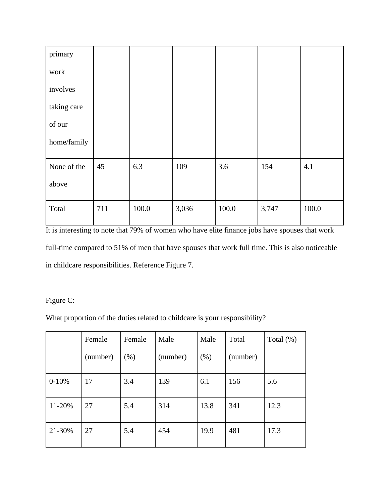| primary     |     |       |       |       |       |       |
|-------------|-----|-------|-------|-------|-------|-------|
| work        |     |       |       |       |       |       |
| involves    |     |       |       |       |       |       |
| taking care |     |       |       |       |       |       |
| of our      |     |       |       |       |       |       |
| home/family |     |       |       |       |       |       |
| None of the | 45  | 6.3   | 109   | 3.6   | 154   | 4.1   |
| above       |     |       |       |       |       |       |
| Total       | 711 | 100.0 | 3,036 | 100.0 | 3,747 | 100.0 |

It is interesting to note that 79% of women who have elite finance jobs have spouses that work full-time compared to 51% of men that have spouses that work full time. This is also noticeable in childcare responsibilities. Reference Figure 7.

Figure C:

What proportion of the duties related to childcare is your responsibility?

|         | Female   | Female | Male     | Male | Total    | Total $(\%)$ |
|---------|----------|--------|----------|------|----------|--------------|
|         | (number) | $(\%)$ | (number) | (% ) | (number) |              |
| $0-10%$ | 17       | 3.4    | 139      | 6.1  | 156      | 5.6          |
| 11-20%  | 27       | 5.4    | 314      | 13.8 | 341      | 12.3         |
| 21-30%  | 27       | 5.4    | 454      | 19.9 | 481      | 17.3         |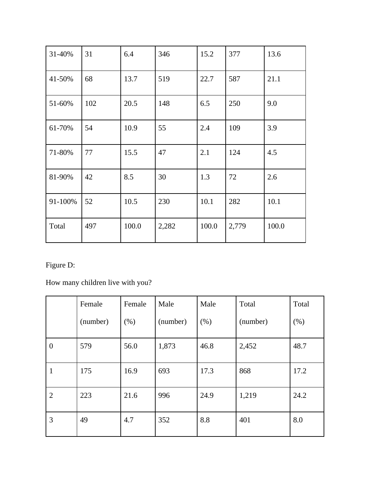| 31-40%  | 31  | 6.4   | 346   | 15.2  | 377   | 13.6  |
|---------|-----|-------|-------|-------|-------|-------|
| 41-50%  | 68  | 13.7  | 519   | 22.7  | 587   | 21.1  |
| 51-60%  | 102 | 20.5  | 148   | 6.5   | 250   | 9.0   |
| 61-70%  | 54  | 10.9  | 55    | 2.4   | 109   | 3.9   |
| 71-80%  | 77  | 15.5  | 47    | 2.1   | 124   | 4.5   |
| 81-90%  | 42  | 8.5   | 30    | 1.3   | 72    | 2.6   |
| 91-100% | 52  | 10.5  | 230   | 10.1  | 282   | 10.1  |
| Total   | 497 | 100.0 | 2,282 | 100.0 | 2,779 | 100.0 |

Figure D:

How many children live with you?

|                  | Female   | Female | Male     | Male | Total    | Total |
|------------------|----------|--------|----------|------|----------|-------|
|                  | (number) | (% )   | (number) | (% ) | (number) | (% )  |
| $\boldsymbol{0}$ | 579      | 56.0   | 1,873    | 46.8 | 2,452    | 48.7  |
| 1                | 175      | 16.9   | 693      | 17.3 | 868      | 17.2  |
| $\overline{2}$   | 223      | 21.6   | 996      | 24.9 | 1,219    | 24.2  |
| 3                | 49       | 4.7    | 352      | 8.8  | 401      | 8.0   |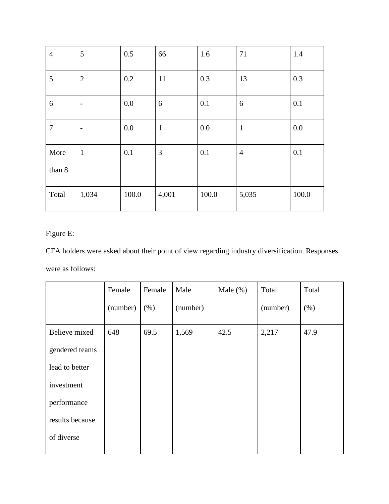| $\overline{4}$ | 5                        | 0.5   | 66           | 1.6   | 71             | 1.4   |
|----------------|--------------------------|-------|--------------|-------|----------------|-------|
| $\overline{5}$ | $\mathbf{2}$             | 0.2   | 11           | 0.3   | 13             | 0.3   |
| 6              | $\overline{a}$           | 0.0   | 6            | 0.1   | 6              | 0.1   |
| $\overline{7}$ | $\overline{\phantom{0}}$ | 0.0   | $\mathbf{1}$ | 0.0   | $\mathbf{1}$   | 0.0   |
| More           | $\mathbf{1}$             | 0.1   | 3            | 0.1   | $\overline{4}$ | 0.1   |
| than 8         |                          |       |              |       |                |       |
| Total          | 1,034                    | 100.0 | 4,001        | 100.0 | 5,035          | 100.0 |

## Figure E:

CFA holders were asked about their point of view regarding industry diversification. Responses were as follows:

|                 | Female   | Female | Male     | Male $(\%)$ | Total    | Total |
|-----------------|----------|--------|----------|-------------|----------|-------|
|                 | (number) | (% )   | (number) |             | (number) | (% )  |
| Believe mixed   | 648      | 69.5   | 1,569    | 42.5        | 2,217    | 47.9  |
| gendered teams  |          |        |          |             |          |       |
| lead to better  |          |        |          |             |          |       |
| investment      |          |        |          |             |          |       |
| performance     |          |        |          |             |          |       |
| results because |          |        |          |             |          |       |
| of diverse      |          |        |          |             |          |       |
|                 |          |        |          |             |          |       |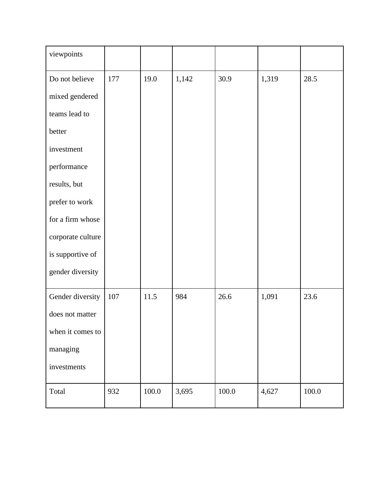| viewpoints        |     |       |       |           |       |           |
|-------------------|-----|-------|-------|-----------|-------|-----------|
| Do not believe    | 177 | 19.0  | 1,142 | 30.9      | 1,319 | 28.5      |
| mixed gendered    |     |       |       |           |       |           |
| teams lead to     |     |       |       |           |       |           |
| better            |     |       |       |           |       |           |
| investment        |     |       |       |           |       |           |
| performance       |     |       |       |           |       |           |
| results, but      |     |       |       |           |       |           |
| prefer to work    |     |       |       |           |       |           |
| for a firm whose  |     |       |       |           |       |           |
| corporate culture |     |       |       |           |       |           |
| is supportive of  |     |       |       |           |       |           |
| gender diversity  |     |       |       |           |       |           |
| Gender diversity  | 107 | 11.5  | 984   | 26.6      | 1,091 | 23.6      |
| does not matter   |     |       |       |           |       |           |
| when it comes to  |     |       |       |           |       |           |
| managing          |     |       |       |           |       |           |
| investments       |     |       |       |           |       |           |
| Total             | 932 | 100.0 | 3,695 | $100.0\,$ | 4,627 | $100.0\,$ |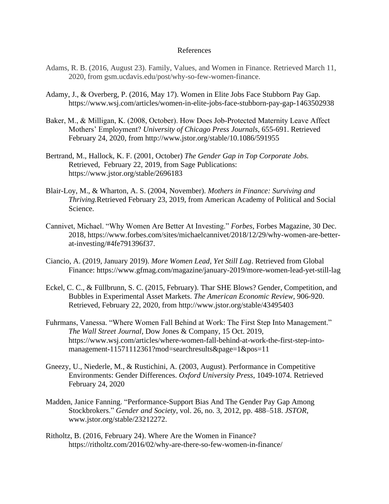#### References

- Adams, R. B. (2016, August 23). Family, Values, and Women in Finance. Retrieved March 11, 2020, from gsm.ucdavis.edu/post/why-so-few-women-finance.
- Adamy, J., & Overberg, P. (2016, May 17). Women in Elite Jobs Face Stubborn Pay Gap. <https://www.wsj.com/articles/women-in-elite-jobs-face-stubborn-pay-gap-1463502938>
- Baker, M., & Milligan, K. (2008, October). How Does Job‐Protected Maternity Leave Affect Mothers' Employment? *University of Chicago Press Journals*, 655-691. Retrieved February 24, 2020, from htt[p://www.jstor.org/stable/10.1086/591955](http://www.jstor.org/stable/10.1086/591955)
- Bertrand, M., Hallock, K. F. (2001, October) *The Gender Gap in Top Corporate Jobs.*  Retrieved, February 22, 2019, from Sage Publications: <https://www.jstor.org/stable/2696183>
- Blair-Loy, M., & Wharton, A. S. (2004, November). *Mothers in Finance: Surviving and Thriving.*Retrieved February 23, 2019, from American Academy of Political and Social Science.
- Cannivet, Michael. "Why Women Are Better At Investing." *Forbes*, Forbes Magazine, 30 Dec. 2018, https://www.forbes.com/sites/michaelcannivet/2018/12/29/why-women-are-betterat-investing/#4fe791396f37.
- Ciancio, A. (2019, January 2019). *More Women Lead, Yet Still Lag*. Retrieved from Global Finance: https://www.gfmag.com/magazine/january-2019/more-women-lead-yet-still-lag
- Eckel, C. C., & Füllbrunn, S. C. (2015, February). Thar SHE Blows? Gender, Competition, and Bubbles in Experimental Asset Markets. *The American Economic Review,* 906-920. Retrieved, February 22, 2020, from htt[p://www.jstor.org/stable/43495403](http://www.jstor.org/stable/43495403)
- Fuhrmans, Vanessa. "Where Women Fall Behind at Work: The First Step Into Management." *The Wall Street Journal*, Dow Jones & Company, 15 Oct. 2019, [https://www.wsj.com/articles/where-women-fall-behind-at-work-the-first-step-into](https://www.wsj.com/articles/where-women-fall-behind-at-work-the-first-step-into-management-11571112361?mod=searchresults&page=1&pos=11)[management-11571112361?mod=searchresults&page=1&pos=11](https://www.wsj.com/articles/where-women-fall-behind-at-work-the-first-step-into-management-11571112361?mod=searchresults&page=1&pos=11)
- Gneezy, U., Niederle, M., & Rustichini, A. (2003, August). Performance in Competitive Environments: Gender Differences. *Oxford University Press*, 1049-1074. Retrieved February 24, 2020
- Madden, Janice Fanning. "Performance-Support Bias And The Gender Pay Gap Among Stockbrokers." *Gender and Society*, vol. 26, no. 3, 2012, pp. 488–518. *JSTOR*, [www.jstor.org/stable/23212272.](http://www.jstor.org/stable/23212272)
- Ritholtz, B. (2016, February 24). Where Are the Women in Finance? <https://ritholtz.com/2016/02/why-are-there-so-few-women-in-finance/>